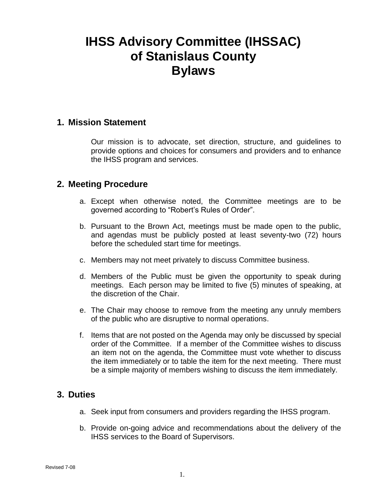# **IHSS Advisory Committee (IHSSAC) of Stanislaus County Bylaws**

#### **1. Mission Statement**

Our mission is to advocate, set direction, structure, and guidelines to provide options and choices for consumers and providers and to enhance the IHSS program and services.

#### **2. Meeting Procedure**

- a. Except when otherwise noted, the Committee meetings are to be governed according to "Robert's Rules of Order".
- b. Pursuant to the Brown Act, meetings must be made open to the public, and agendas must be publicly posted at least seventy-two (72) hours before the scheduled start time for meetings.
- c. Members may not meet privately to discuss Committee business.
- d. Members of the Public must be given the opportunity to speak during meetings. Each person may be limited to five (5) minutes of speaking, at the discretion of the Chair.
- e. The Chair may choose to remove from the meeting any unruly members of the public who are disruptive to normal operations.
- f. Items that are not posted on the Agenda may only be discussed by special order of the Committee. If a member of the Committee wishes to discuss an item not on the agenda, the Committee must vote whether to discuss the item immediately or to table the item for the next meeting. There must be a simple majority of members wishing to discuss the item immediately.

#### **3. Duties**

- a. Seek input from consumers and providers regarding the IHSS program.
- b. Provide on-going advice and recommendations about the delivery of the IHSS services to the Board of Supervisors.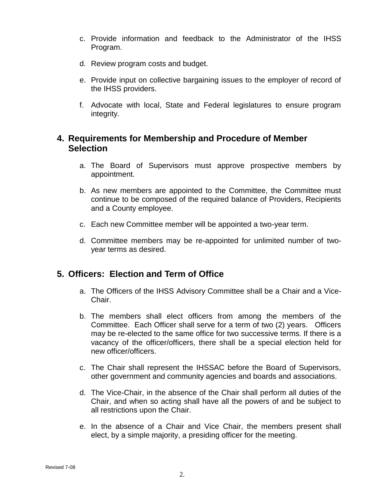- c. Provide information and feedback to the Administrator of the IHSS Program.
- d. Review program costs and budget.
- e. Provide input on collective bargaining issues to the employer of record of the IHSS providers.
- f. Advocate with local, State and Federal legislatures to ensure program integrity.

## **4. Requirements for Membership and Procedure of Member Selection**

- a. The Board of Supervisors must approve prospective members by appointment.
- b. As new members are appointed to the Committee, the Committee must continue to be composed of the required balance of Providers, Recipients and a County employee.
- c. Each new Committee member will be appointed a two-year term.
- d. Committee members may be re-appointed for unlimited number of twoyear terms as desired.

#### **5. Officers: Election and Term of Office**

- a. The Officers of the IHSS Advisory Committee shall be a Chair and a Vice-Chair.
- b. The members shall elect officers from among the members of the Committee. Each Officer shall serve for a term of two (2) years. Officers may be re-elected to the same office for two successive terms. If there is a vacancy of the officer/officers, there shall be a special election held for new officer/officers.
- c. The Chair shall represent the IHSSAC before the Board of Supervisors, other government and community agencies and boards and associations.
- d. The Vice-Chair, in the absence of the Chair shall perform all duties of the Chair, and when so acting shall have all the powers of and be subject to all restrictions upon the Chair.
- e. In the absence of a Chair and Vice Chair, the members present shall elect, by a simple majority, a presiding officer for the meeting.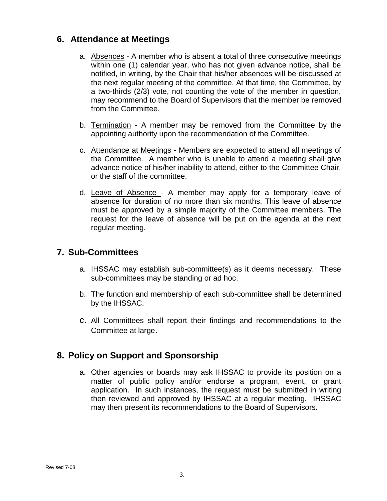## **6. Attendance at Meetings**

- a. Absences A member who is absent a total of three consecutive meetings within one (1) calendar year, who has not given advance notice, shall be notified, in writing, by the Chair that his/her absences will be discussed at the next regular meeting of the committee. At that time, the Committee, by a two-thirds (2/3) vote, not counting the vote of the member in question, may recommend to the Board of Supervisors that the member be removed from the Committee.
- b. Termination A member may be removed from the Committee by the appointing authority upon the recommendation of the Committee.
- c. Attendance at Meetings Members are expected to attend all meetings of the Committee. A member who is unable to attend a meeting shall give advance notice of his/her inability to attend, either to the Committee Chair, or the staff of the committee.
- d. Leave of Absence A member may apply for a temporary leave of absence for duration of no more than six months. This leave of absence must be approved by a simple majority of the Committee members. The request for the leave of absence will be put on the agenda at the next regular meeting.

#### **7. Sub-Committees**

- a. IHSSAC may establish sub-committee(s) as it deems necessary. These sub-committees may be standing or ad hoc.
- b. The function and membership of each sub-committee shall be determined by the IHSSAC.
- c. All Committees shall report their findings and recommendations to the Committee at large.

#### **8. Policy on Support and Sponsorship**

a. Other agencies or boards may ask IHSSAC to provide its position on a matter of public policy and/or endorse a program, event, or grant application. In such instances, the request must be submitted in writing then reviewed and approved by IHSSAC at a regular meeting. IHSSAC may then present its recommendations to the Board of Supervisors.